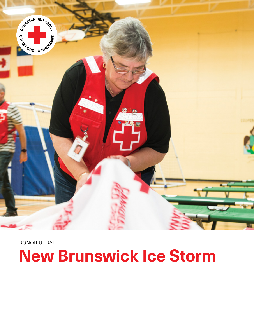

DONOR UPDATE **New Brunswick Ice Storm**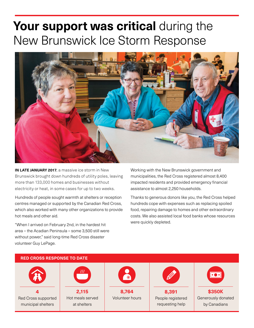## **Your support was critical** during the New Brunswick Ice Storm Response



**IN LATE JANUARY 2017**, a massive ice storm in New Brunswick brought down hundreds of utility poles, leaving more than 133,000 homes and businesses without electricity or heat, in some cases for up to two weeks.

Hundreds of people sought warmth at shelters or reception centres managed or supported by the Canadian Red Cross, which also worked with many other organizations to provide hot meals and other aid.

"When I arrived on February 2nd, in the hardest hit area – the Acadian Peninsula – some 3,500 still were without power," said long-time Red Cross disaster volunteer Guy LePage.

Working with the New Brunswick government and municipalities, the Red Cross registered almost 8,400 impacted residents and provided emergency financial assistance to almost 2,250 households.

Thanks to generous donors like you, the Red Cross helped hundreds cope with expenses such as replacing spoiled food, repairing damage to homes and other extraordinary costs. We also assisted local food banks whose resources were quickly depleted.

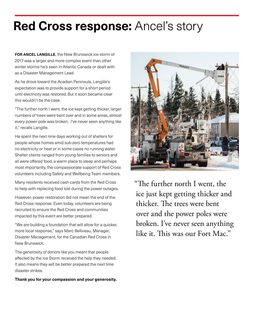## **Red Cross response: Ancel's story**

**FOR ANCEL LANGILLE**, the New Brunswick ice storm of 2017 was a larger and more complex event than other winter storms he's seen in Atlantic Canada or dealt with as a Disaster Management Lead.

As he drove toward the Acadian Peninsula, Langille's expectation was to provide support for a short period until electricity was restored. But it soon became clear this wouldn't be the case.

"The further north I went, the ice kept getting thicker, larger numbers of trees were bent over and in some areas, almost every power pole was broken. I've never seen anything like it," recalls Langille.

He spent the next nine days working out of shelters for people whose homes amid sub-zero temperatures had no electricity or heat or in some cases no running water. Shelter clients ranged from young families to seniors and all were offered food, a warm place to sleep and perhaps most importantly, the compassionate support of Red Cross volunteers including Safety and Wellbeing Team members.

Many residents received cash cards from the Red Cross to help with replacing food lost during the power outages.

However, power restoration did not mean the end of the Red Cross response. Even today, volunteers are being recruited to ensure the Red Cross and communities impacted by this event are better prepared.

"We are building a foundation that will allow for a quicker, more local response," says Marc Belliveau, Manager, Disaster Management, for the Canadian Red Cross in New Brunswick.

The generosity of donors like you meant that people affected by the Ice Storm received the help they needed. It also means they will be better prepared the next time disaster strikes.

**Thank you for your compassion and your generosity.**



"The further north I went, the ice just kept getting thicker and thicker. The trees were bent over and the power poles were broken. I've never seen anything like it. This was our Fort Mac."